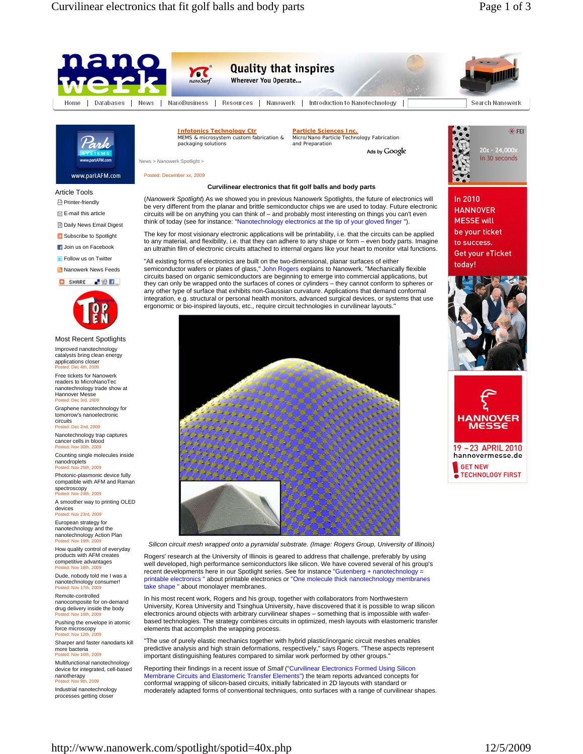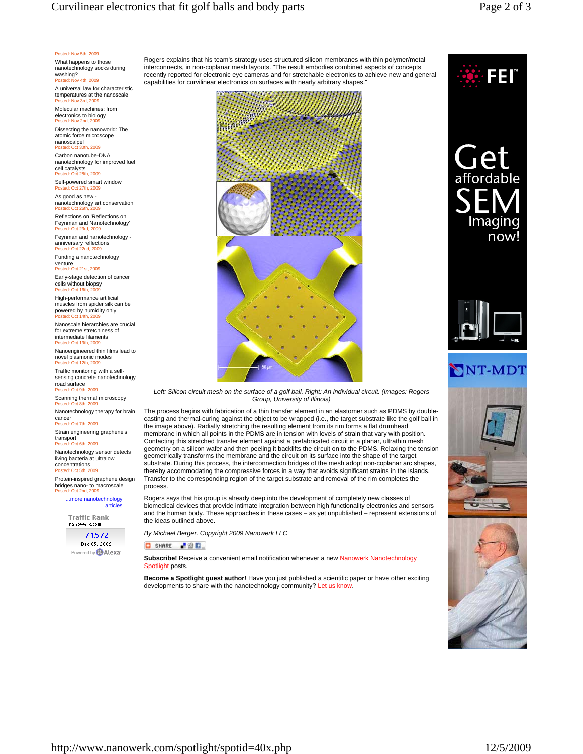## Curvilinear electronics that fit golf balls and body parts Page 2 of 3

## Posted: Nov 5th, 2009

What happens to those nanotechnology socks during washing? ted: Nov 4th, 2009

A universal law for characteristic temperatures at the nanoscale Posted: Nov 3rd, 2009

Molecular machines: from electronics to biology sted: Nov 2nd, 2009

Dissecting the nanoworld: The atomic force microscope nanoscalpel

Posted: Oct 30th, 2009 Carbon nanotube-DNA nanotechnology for improved fuel cell catalysts Posted: Oct 28th, 2009

Self-powered smart window ed: Oct 27th, 2009 As good as new -

nanotechnology art conservation Posted: Oct 26th, 2009

Reflections on 'Reflections on Feynman and Nanotechnology' Posted: Oct 23rd, 2009

Feynman and nanotechnology anniversary reflections Posted: Oct 22nd, 2009

Funding a nanotechnology venture Posted: Oct 21st, 2009

Early-stage detection of cancer

cells without biopsy Posted: Oct 16th, 2009 High-performance artificial

muscles from spider silk can be powered by humidity only<br>Posted: Oct 14th, 2009 sted: Oct

Nanoscale hierarchies are crucial for extreme stretchiness of intermediate filaments Posted: Oct 13th, 2009

Nanoengineered thin films lead to novel plasmonic modes sted: Oct 12th, 2009

Traffic monitoring with a self-sensing concrete nanotechnology road surface

Posted: Oct 9th, 2009 Scanning thermal microscopy

Posted: Oct 8th, 2009 Nanotechnology therapy for brain cancer

Posted: Oct 7th, 2009

Strain engineering graphene's transport Posted: Oct 6th, 2009

Nanotechnology sensor detects living bacteria at ultralow

concentrations Posted: Oct 5th, 2009

Protein-inspired graphene design bridges nano- to macroscale ed: Oct 2nd, 2009

...more nanotechnology articles

**Traffic Rank** nanowerk.com 74.572 Dec 05, 2009 red by **@Alexa** 

Rogers explains that his team's strategy uses structured silicon membranes with thin polymer/metal interconnects, in non-coplanar mesh layouts. "The result embodies combined aspects of concepts recently reported for electronic eye cameras and for stretchable electronics to achieve new and general capabilities for curvilinear electronics on surfaces with nearly arbitrary shapes."





*Left: Silicon circuit mesh on the surface of a golf ball. Right: An individual circuit. (Images: Rogers Group, University of Illinois)* 

The process begins with fabrication of a thin transfer element in an elastomer such as PDMS by doublecasting and thermal-curing against the object to be wrapped (i.e., the target substrate like the golf ball in the image above). Radially stretching the resulting element from its rim forms a flat drumhead membrane in which all points in the PDMS are in tension with levels of strain that vary with position. Contacting this stretched transfer element against a prefabricated circuit in a planar, ultrathin mesh geometry on a silicon wafer and then peeling it backlifts the circuit on to the PDMS. Relaxing the tension geometrically transforms the membrane and the circuit on its surface into the shape of the target substrate. During this process, the interconnection bridges of the mesh adopt non-coplanar arc shapes, thereby accommodating the compressive forces in a way that avoids significant strains in the islands. Transfer to the corresponding region of the target substrate and removal of the rim completes the process.

Rogers says that his group is already deep into the development of completely new classes of biomedical devices that provide intimate integration between high functionality electronics and sensors and the human body. These approaches in these cases – as yet unpublished – represent extensions of the ideas outlined above.

*By Michael Berger. Copyright 2009 Nanowerk LLC*

## **O** SHARE **P**<sup>2</sup>

**Subscribe!** Receive a convenient email notification whenever a new Nanowerk Nanotechnology Spotlight posts.

**Become a Spotlight guest author!** Have you just published a scientific paper or have other exciting developments to share with the nanotechnology community? Let us know.